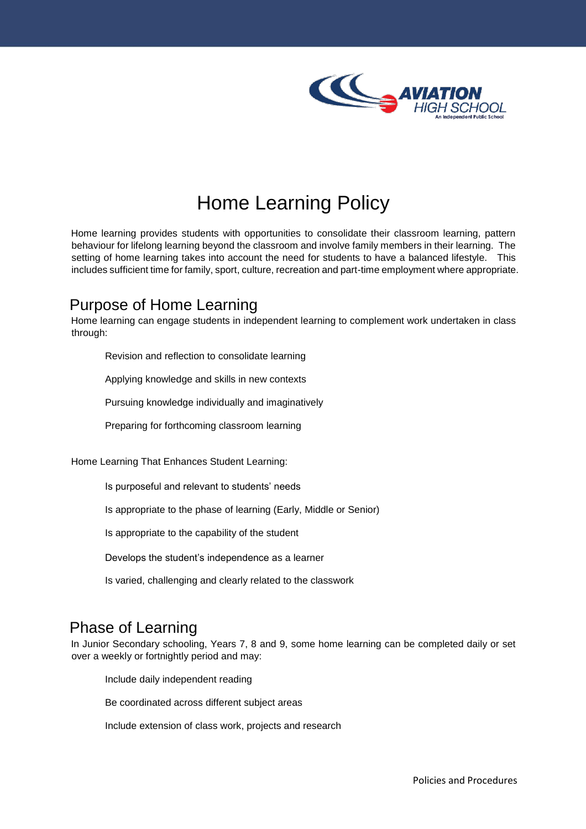

## Home Learning Policy

Home learning provides students with opportunities to consolidate their classroom learning, pattern behaviour for lifelong learning beyond the classroom and involve family members in their learning. The setting of home learning takes into account the need for students to have a balanced lifestyle. This includes sufficient time for family, sport, culture, recreation and part-time employment where appropriate.

## Purpose of Home Learning

Home learning can engage students in independent learning to complement work undertaken in class through:

Revision and reflection to consolidate learning

Applying knowledge and skills in new contexts

Pursuing knowledge individually and imaginatively

Preparing for forthcoming classroom learning

Home Learning That Enhances Student Learning:

Is purposeful and relevant to students' needs

Is appropriate to the phase of learning (Early, Middle or Senior)

Is appropriate to the capability of the student

Develops the student's independence as a learner

Is varied, challenging and clearly related to the classwork

## Phase of Learning

In Junior Secondary schooling, Years 7, 8 and 9, some home learning can be completed daily or set over a weekly or fortnightly period and may:

Include daily independent reading

Be coordinated across different subject areas

Include extension of class work, projects and research